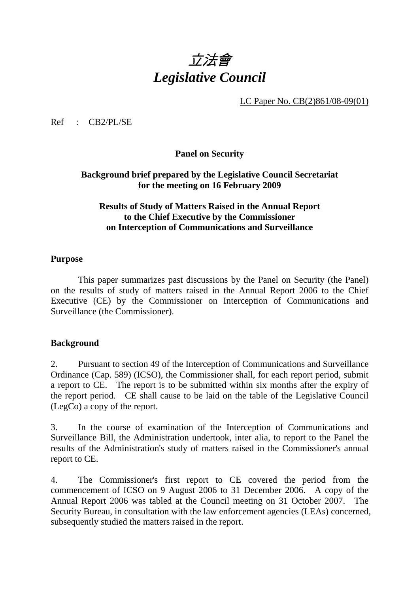# 立法會 *Legislative Council*

LC Paper No. CB(2)861/08-09(01)

Ref : CB2/PL/SE

**Panel on Security** 

### **Background brief prepared by the Legislative Council Secretariat for the meeting on 16 February 2009**

#### **Results of Study of Matters Raised in the Annual Report to the Chief Executive by the Commissioner on Interception of Communications and Surveillance**

#### **Purpose**

 This paper summarizes past discussions by the Panel on Security (the Panel) on the results of study of matters raised in the Annual Report 2006 to the Chief Executive (CE) by the Commissioner on Interception of Communications and Surveillance (the Commissioner).

#### **Background**

2. Pursuant to section 49 of the Interception of Communications and Surveillance Ordinance (Cap. 589) (ICSO), the Commissioner shall, for each report period, submit a report to CE. The report is to be submitted within six months after the expiry of the report period. CE shall cause to be laid on the table of the Legislative Council (LegCo) a copy of the report.

3. In the course of examination of the Interception of Communications and Surveillance Bill, the Administration undertook, inter alia, to report to the Panel the results of the Administration's study of matters raised in the Commissioner's annual report to CE.

4. The Commissioner's first report to CE covered the period from the commencement of ICSO on 9 August 2006 to 31 December 2006. A copy of the Annual Report 2006 was tabled at the Council meeting on 31 October 2007. The Security Bureau, in consultation with the law enforcement agencies (LEAs) concerned, subsequently studied the matters raised in the report.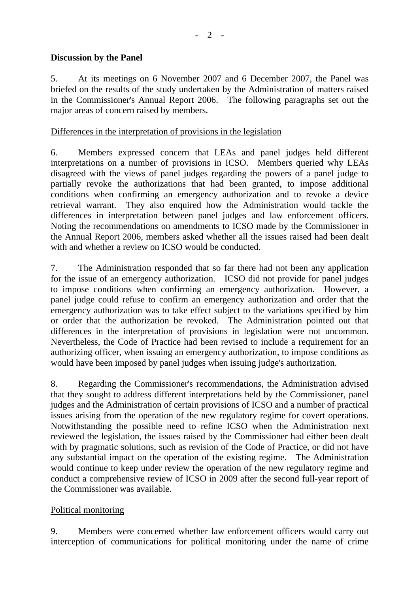#### **Discussion by the Panel**

5. At its meetings on 6 November 2007 and 6 December 2007, the Panel was briefed on the results of the study undertaken by the Administration of matters raised in the Commissioner's Annual Report 2006. The following paragraphs set out the major areas of concern raised by members.

#### Differences in the interpretation of provisions in the legislation

6. Members expressed concern that LEAs and panel judges held different interpretations on a number of provisions in ICSO. Members queried why LEAs disagreed with the views of panel judges regarding the powers of a panel judge to partially revoke the authorizations that had been granted, to impose additional conditions when confirming an emergency authorization and to revoke a device retrieval warrant. They also enquired how the Administration would tackle the differences in interpretation between panel judges and law enforcement officers. Noting the recommendations on amendments to ICSO made by the Commissioner in the Annual Report 2006, members asked whether all the issues raised had been dealt with and whether a review on ICSO would be conducted.

7. The Administration responded that so far there had not been any application for the issue of an emergency authorization. ICSO did not provide for panel judges to impose conditions when confirming an emergency authorization. However, a panel judge could refuse to confirm an emergency authorization and order that the emergency authorization was to take effect subject to the variations specified by him or order that the authorization be revoked. The Administration pointed out that differences in the interpretation of provisions in legislation were not uncommon. Nevertheless, the Code of Practice had been revised to include a requirement for an authorizing officer, when issuing an emergency authorization, to impose conditions as would have been imposed by panel judges when issuing judge's authorization.

8. Regarding the Commissioner's recommendations, the Administration advised that they sought to address different interpretations held by the Commissioner, panel judges and the Administration of certain provisions of ICSO and a number of practical issues arising from the operation of the new regulatory regime for covert operations. Notwithstanding the possible need to refine ICSO when the Administration next reviewed the legislation, the issues raised by the Commissioner had either been dealt with by pragmatic solutions, such as revision of the Code of Practice, or did not have any substantial impact on the operation of the existing regime. The Administration would continue to keep under review the operation of the new regulatory regime and conduct a comprehensive review of ICSO in 2009 after the second full-year report of the Commissioner was available.

#### Political monitoring

9. Members were concerned whether law enforcement officers would carry out interception of communications for political monitoring under the name of crime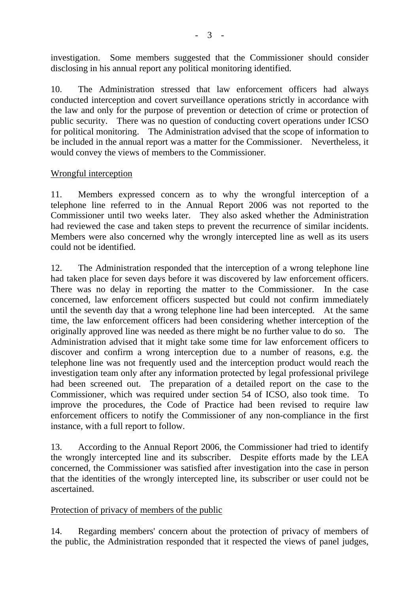investigation. Some members suggested that the Commissioner should consider disclosing in his annual report any political monitoring identified.

10. The Administration stressed that law enforcement officers had always conducted interception and covert surveillance operations strictly in accordance with the law and only for the purpose of prevention or detection of crime or protection of public security. There was no question of conducting covert operations under ICSO for political monitoring. The Administration advised that the scope of information to be included in the annual report was a matter for the Commissioner. Nevertheless, it would convey the views of members to the Commissioner.

#### Wrongful interception

11. Members expressed concern as to why the wrongful interception of a telephone line referred to in the Annual Report 2006 was not reported to the Commissioner until two weeks later. They also asked whether the Administration had reviewed the case and taken steps to prevent the recurrence of similar incidents. Members were also concerned why the wrongly intercepted line as well as its users could not be identified.

12. The Administration responded that the interception of a wrong telephone line had taken place for seven days before it was discovered by law enforcement officers. There was no delay in reporting the matter to the Commissioner. In the case concerned, law enforcement officers suspected but could not confirm immediately until the seventh day that a wrong telephone line had been intercepted. At the same time, the law enforcement officers had been considering whether interception of the originally approved line was needed as there might be no further value to do so. The Administration advised that it might take some time for law enforcement officers to discover and confirm a wrong interception due to a number of reasons, e.g. the telephone line was not frequently used and the interception product would reach the investigation team only after any information protected by legal professional privilege had been screened out. The preparation of a detailed report on the case to the Commissioner, which was required under section 54 of ICSO, also took time. To improve the procedures, the Code of Practice had been revised to require law enforcement officers to notify the Commissioner of any non-compliance in the first instance, with a full report to follow.

13. According to the Annual Report 2006, the Commissioner had tried to identify the wrongly intercepted line and its subscriber. Despite efforts made by the LEA concerned, the Commissioner was satisfied after investigation into the case in person that the identities of the wrongly intercepted line, its subscriber or user could not be ascertained.

# Protection of privacy of members of the public

14. Regarding members' concern about the protection of privacy of members of the public, the Administration responded that it respected the views of panel judges,